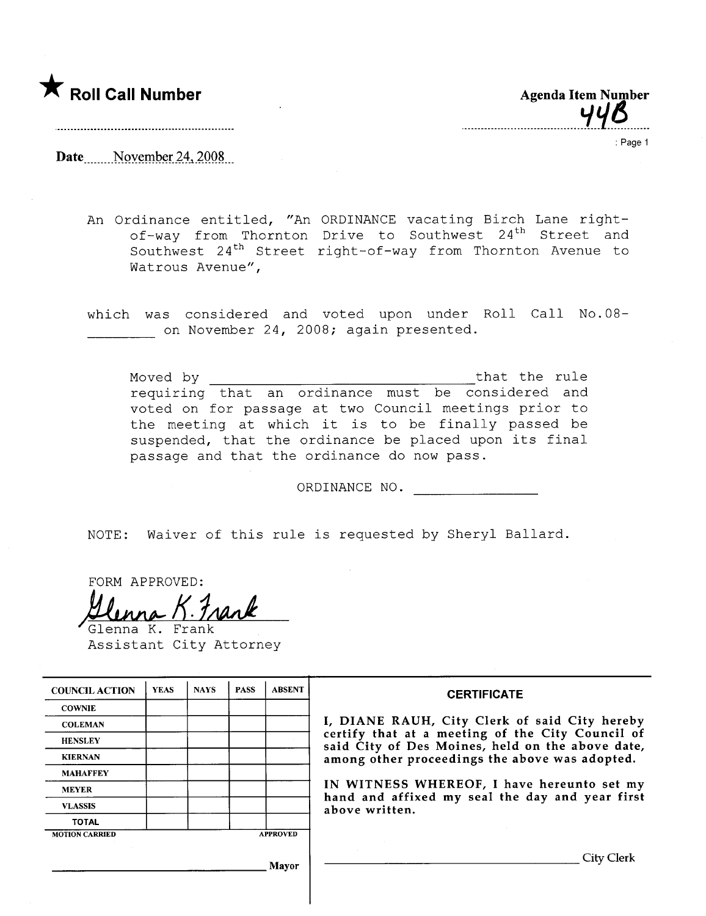

| <b>Agenda Item Number</b> |            |
|---------------------------|------------|
|                           | <b>44B</b> |

Date \_\_\_\_\_ November 24, 2008

: Page 1

An Ordinance entitled, "An ORDINANCE vacating Birch Lane rightof-way from Thornton Drive to Southwest 24<sup>th</sup> Street and Southwest 24<sup>th</sup> Street right-of-way from Thornton Avenue to Watrous Avenue",

which was considered and voted upon under Roll Call No.08 on November 24, 2008; again presented.

Moved by that the rule requiring that an ordinance must be considered and voted on for passage at two Council meetings prior to the meeting at which it is to be finally passed be suspended, that the ordinance be placed upon its final passage and that the ordinance do now pass.

ORDINANCE NO.

NOTE: Waiver of this rule is requested by Sheryl Ballard.

FORM APPROVED:<br><u>Hlunna K. 7</u>

Assistant City Attorney

| <b>COUNCIL ACTION</b> | <b>YEAS</b> | <b>NAYS</b> | <b>PASS</b> | <b>ABSENT</b>   | <b>CERTIFICATE</b>                                                                                                                                                                                                                                                                                                         |
|-----------------------|-------------|-------------|-------------|-----------------|----------------------------------------------------------------------------------------------------------------------------------------------------------------------------------------------------------------------------------------------------------------------------------------------------------------------------|
| <b>COWNIE</b>         |             |             |             |                 | I, DIANE RAUH, City Clerk of said City hereby<br>certify that at a meeting of the City Council of<br>said City of Des Moines, held on the above date,<br>among other proceedings the above was adopted.<br>IN WITNESS WHEREOF, I have hereunto set my<br>hand and affixed my seal the day and year first<br>above written. |
| <b>COLEMAN</b>        |             |             |             |                 |                                                                                                                                                                                                                                                                                                                            |
| <b>HENSLEY</b>        |             |             |             |                 |                                                                                                                                                                                                                                                                                                                            |
| <b>KIERNAN</b>        |             |             |             |                 |                                                                                                                                                                                                                                                                                                                            |
| <b>MAHAFFEY</b>       |             |             |             |                 |                                                                                                                                                                                                                                                                                                                            |
| <b>MEYER</b>          |             |             |             |                 |                                                                                                                                                                                                                                                                                                                            |
| <b>VLASSIS</b>        |             |             |             |                 |                                                                                                                                                                                                                                                                                                                            |
| <b>TOTAL</b>          |             |             |             |                 |                                                                                                                                                                                                                                                                                                                            |
| <b>MOTION CARRIED</b> |             |             |             | <b>APPROVED</b> |                                                                                                                                                                                                                                                                                                                            |
|                       |             |             |             | <b>Mayor</b>    | City Clerk                                                                                                                                                                                                                                                                                                                 |